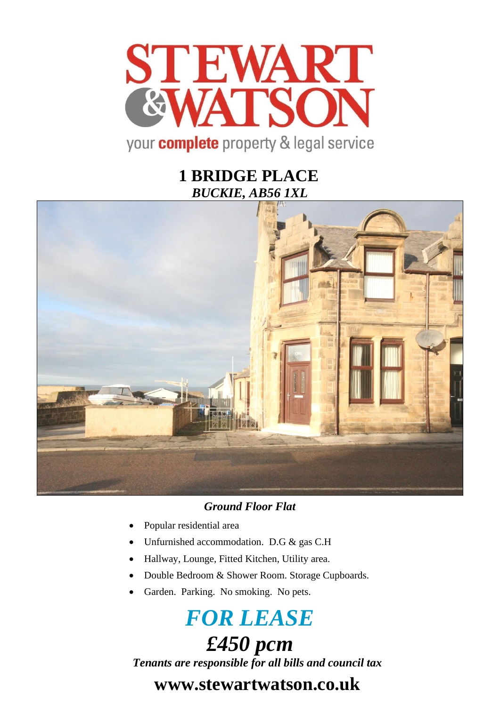

# **1 BRIDGE PLACE** *BUCKIE, AB56 1XL*



### *Ground Floor Flat*

- Popular residential area
- Unfurnished accommodation. D.G & gas C.H
- Hallway, Lounge, Fitted Kitchen, Utility area.
- Double Bedroom & Shower Room. Storage Cupboards.
- Garden. Parking. No smoking. No pets.

# *FOR LEASE £450 pcm*

*Tenants are responsible for all bills and council tax*

# **www.stewartwatson.co.uk**